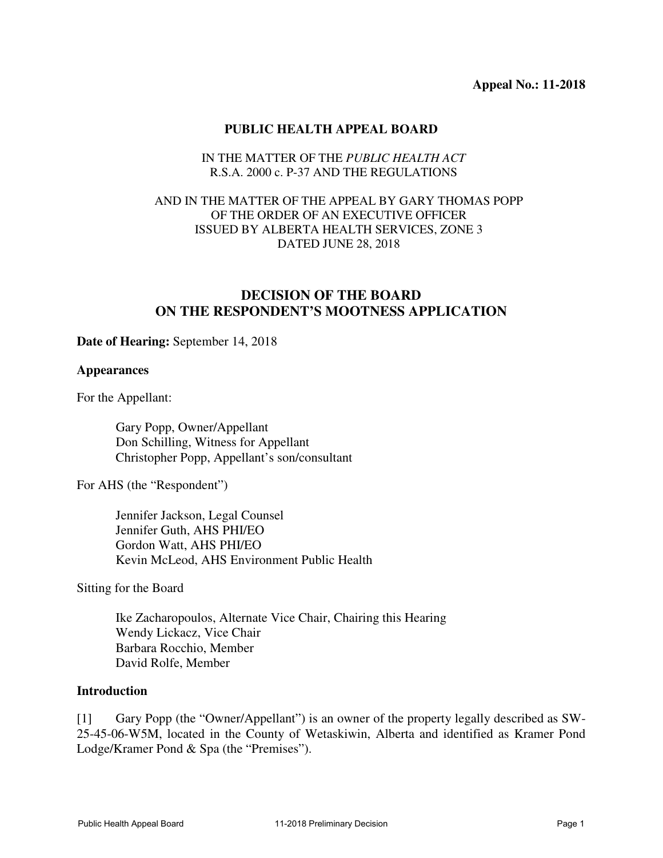### **PUBLIC HEALTH APPEAL BOARD**

#### IN THE MATTER OF THE *PUBLIC HEALTH ACT* R.S.A. 2000 c. P-37 AND THE REGULATIONS

### AND IN THE MATTER OF THE APPEAL BY GARY THOMAS POPP OF THE ORDER OF AN EXECUTIVE OFFICER ISSUED BY ALBERTA HEALTH SERVICES, ZONE 3 DATED JUNE 28, 2018

# **DECISION OF THE BOARD ON THE RESPONDENT'S MOOTNESS APPLICATION**

#### **Date of Hearing:** September 14, 2018

#### **Appearances**

For the Appellant:

Gary Popp, Owner/Appellant Don Schilling, Witness for Appellant Christopher Popp, Appellant's son/consultant

For AHS (the "Respondent")

Jennifer Jackson, Legal Counsel Jennifer Guth, AHS PHI/EO Gordon Watt, AHS PHI/EO Kevin McLeod, AHS Environment Public Health

Sitting for the Board

Ike Zacharopoulos, Alternate Vice Chair, Chairing this Hearing Wendy Lickacz, Vice Chair Barbara Rocchio, Member David Rolfe, Member

### **Introduction**

[1] Gary Popp (the "Owner/Appellant") is an owner of the property legally described as SW-25-45-06-W5M, located in the County of Wetaskiwin, Alberta and identified as Kramer Pond Lodge/Kramer Pond & Spa (the "Premises").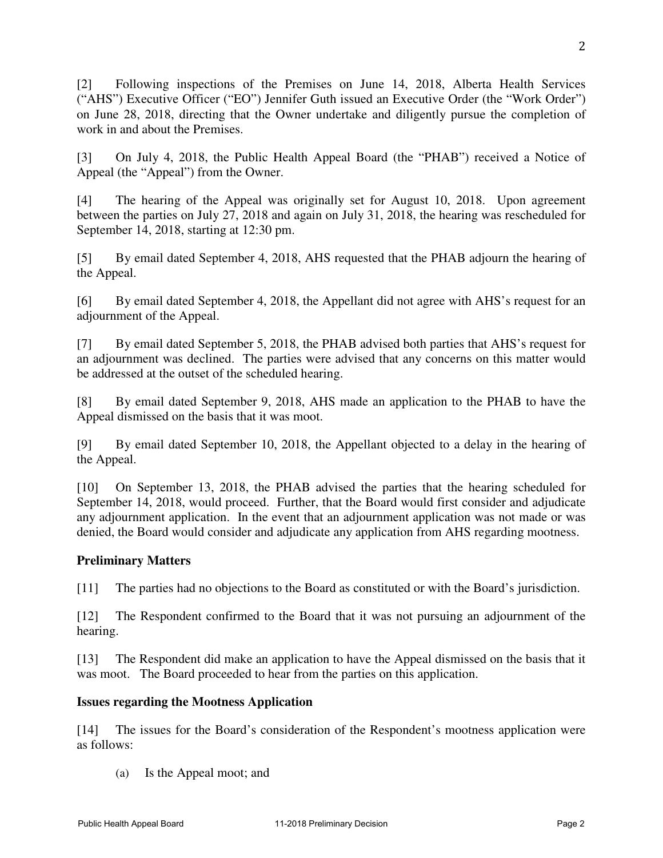[2] Following inspections of the Premises on June 14, 2018, Alberta Health Services ("AHS") Executive Officer ("EO") Jennifer Guth issued an Executive Order (the "Work Order") on June 28, 2018, directing that the Owner undertake and diligently pursue the completion of work in and about the Premises.

[3] On July 4, 2018, the Public Health Appeal Board (the "PHAB") received a Notice of Appeal (the "Appeal") from the Owner.

[4] The hearing of the Appeal was originally set for August 10, 2018. Upon agreement between the parties on July 27, 2018 and again on July 31, 2018, the hearing was rescheduled for September 14, 2018, starting at 12:30 pm.

[5] By email dated September 4, 2018, AHS requested that the PHAB adjourn the hearing of the Appeal.

[6] By email dated September 4, 2018, the Appellant did not agree with AHS's request for an adjournment of the Appeal.

[7] By email dated September 5, 2018, the PHAB advised both parties that AHS's request for an adjournment was declined. The parties were advised that any concerns on this matter would be addressed at the outset of the scheduled hearing.

[8] By email dated September 9, 2018, AHS made an application to the PHAB to have the Appeal dismissed on the basis that it was moot.

[9] By email dated September 10, 2018, the Appellant objected to a delay in the hearing of the Appeal.

[10] On September 13, 2018, the PHAB advised the parties that the hearing scheduled for September 14, 2018, would proceed. Further, that the Board would first consider and adjudicate any adjournment application. In the event that an adjournment application was not made or was denied, the Board would consider and adjudicate any application from AHS regarding mootness.

# **Preliminary Matters**

[11] The parties had no objections to the Board as constituted or with the Board's jurisdiction.

[12] The Respondent confirmed to the Board that it was not pursuing an adjournment of the hearing.

[13] The Respondent did make an application to have the Appeal dismissed on the basis that it was moot. The Board proceeded to hear from the parties on this application.

# **Issues regarding the Mootness Application**

[14] The issues for the Board's consideration of the Respondent's mootness application were as follows:

(a) Is the Appeal moot; and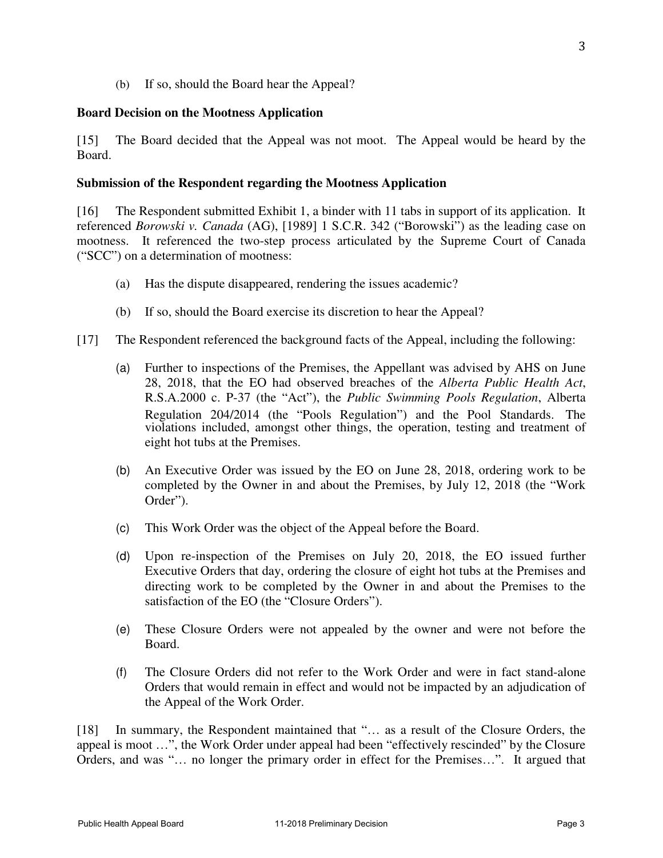(b) If so, should the Board hear the Appeal?

#### **Board Decision on the Mootness Application**

[15] The Board decided that the Appeal was not moot. The Appeal would be heard by the Board.

#### **Submission of the Respondent regarding the Mootness Application**

[16] The Respondent submitted Exhibit 1, a binder with 11 tabs in support of its application. It referenced *Borowski v. Canada* (AG), [1989] 1 S.C.R. 342 ("Borowski") as the leading case on mootness. It referenced the two-step process articulated by the Supreme Court of Canada ("SCC") on a determination of mootness:

- (a) Has the dispute disappeared, rendering the issues academic?
- (b) If so, should the Board exercise its discretion to hear the Appeal?
- [17] The Respondent referenced the background facts of the Appeal, including the following:
	- (a) Further to inspections of the Premises, the Appellant was advised by AHS on June 28, 2018, that the EO had observed breaches of the *Alberta Public Health Act*, R.S.A.2000 c. P-37 (the "Act"), the *Public Swimming Pools Regulation*, Alberta Regulation 204/2014 (the "Pools Regulation") and the Pool Standards. The violations included, amongst other things, the operation, testing and treatment of eight hot tubs at the Premises.
	- (b) An Executive Order was issued by the EO on June 28, 2018, ordering work to be completed by the Owner in and about the Premises, by July 12, 2018 (the "Work Order").
	- (c) This Work Order was the object of the Appeal before the Board.
	- (d) Upon re-inspection of the Premises on July 20, 2018, the EO issued further Executive Orders that day, ordering the closure of eight hot tubs at the Premises and directing work to be completed by the Owner in and about the Premises to the satisfaction of the EO (the "Closure Orders").
	- (e) These Closure Orders were not appealed by the owner and were not before the Board.
	- (f) The Closure Orders did not refer to the Work Order and were in fact stand-alone Orders that would remain in effect and would not be impacted by an adjudication of the Appeal of the Work Order.

[18] In summary, the Respondent maintained that "... as a result of the Closure Orders, the appeal is moot …", the Work Order under appeal had been "effectively rescinded" by the Closure Orders, and was "… no longer the primary order in effect for the Premises…". It argued that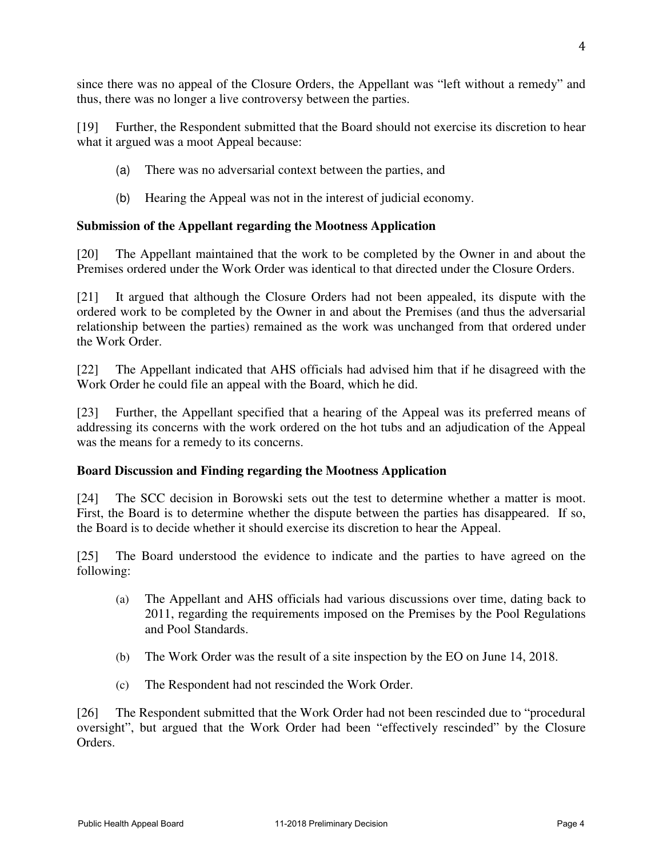since there was no appeal of the Closure Orders, the Appellant was "left without a remedy" and thus, there was no longer a live controversy between the parties.

[19] Further, the Respondent submitted that the Board should not exercise its discretion to hear what it argued was a moot Appeal because:

- (a) There was no adversarial context between the parties, and
- (b) Hearing the Appeal was not in the interest of judicial economy.

# **Submission of the Appellant regarding the Mootness Application**

[20] The Appellant maintained that the work to be completed by the Owner in and about the Premises ordered under the Work Order was identical to that directed under the Closure Orders.

[21] It argued that although the Closure Orders had not been appealed, its dispute with the ordered work to be completed by the Owner in and about the Premises (and thus the adversarial relationship between the parties) remained as the work was unchanged from that ordered under the Work Order.

[22] The Appellant indicated that AHS officials had advised him that if he disagreed with the Work Order he could file an appeal with the Board, which he did.

[23] Further, the Appellant specified that a hearing of the Appeal was its preferred means of addressing its concerns with the work ordered on the hot tubs and an adjudication of the Appeal was the means for a remedy to its concerns.

# **Board Discussion and Finding regarding the Mootness Application**

[24] The SCC decision in Borowski sets out the test to determine whether a matter is moot. First, the Board is to determine whether the dispute between the parties has disappeared. If so, the Board is to decide whether it should exercise its discretion to hear the Appeal.

[25] The Board understood the evidence to indicate and the parties to have agreed on the following:

- (a) The Appellant and AHS officials had various discussions over time, dating back to 2011, regarding the requirements imposed on the Premises by the Pool Regulations and Pool Standards.
- (b) The Work Order was the result of a site inspection by the EO on June 14, 2018.
- (c) The Respondent had not rescinded the Work Order.

[26] The Respondent submitted that the Work Order had not been rescinded due to "procedural oversight", but argued that the Work Order had been "effectively rescinded" by the Closure Orders.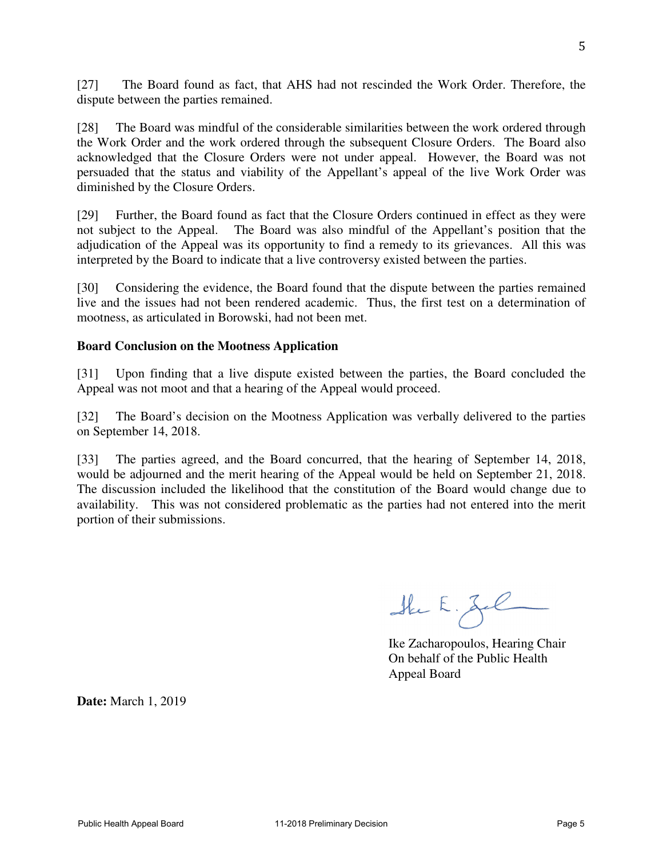[27] The Board found as fact, that AHS had not rescinded the Work Order. Therefore, the dispute between the parties remained.

[28] The Board was mindful of the considerable similarities between the work ordered through the Work Order and the work ordered through the subsequent Closure Orders. The Board also acknowledged that the Closure Orders were not under appeal. However, the Board was not persuaded that the status and viability of the Appellant's appeal of the live Work Order was diminished by the Closure Orders.

[29] Further, the Board found as fact that the Closure Orders continued in effect as they were not subject to the Appeal. The Board was also mindful of the Appellant's position that the adjudication of the Appeal was its opportunity to find a remedy to its grievances. All this was interpreted by the Board to indicate that a live controversy existed between the parties.

[30] Considering the evidence, the Board found that the dispute between the parties remained live and the issues had not been rendered academic. Thus, the first test on a determination of mootness, as articulated in Borowski, had not been met.

### **Board Conclusion on the Mootness Application**

[31] Upon finding that a live dispute existed between the parties, the Board concluded the Appeal was not moot and that a hearing of the Appeal would proceed.

[32] The Board's decision on the Mootness Application was verbally delivered to the parties on September 14, 2018.

[33] The parties agreed, and the Board concurred, that the hearing of September 14, 2018, would be adjourned and the merit hearing of the Appeal would be held on September 21, 2018. The discussion included the likelihood that the constitution of the Board would change due to availability. This was not considered problematic as the parties had not entered into the merit portion of their submissions.

Ske E. Zel

Ike Zacharopoulos, Hearing Chair On behalf of the Public Health Appeal Board

**Date:** March 1, 2019